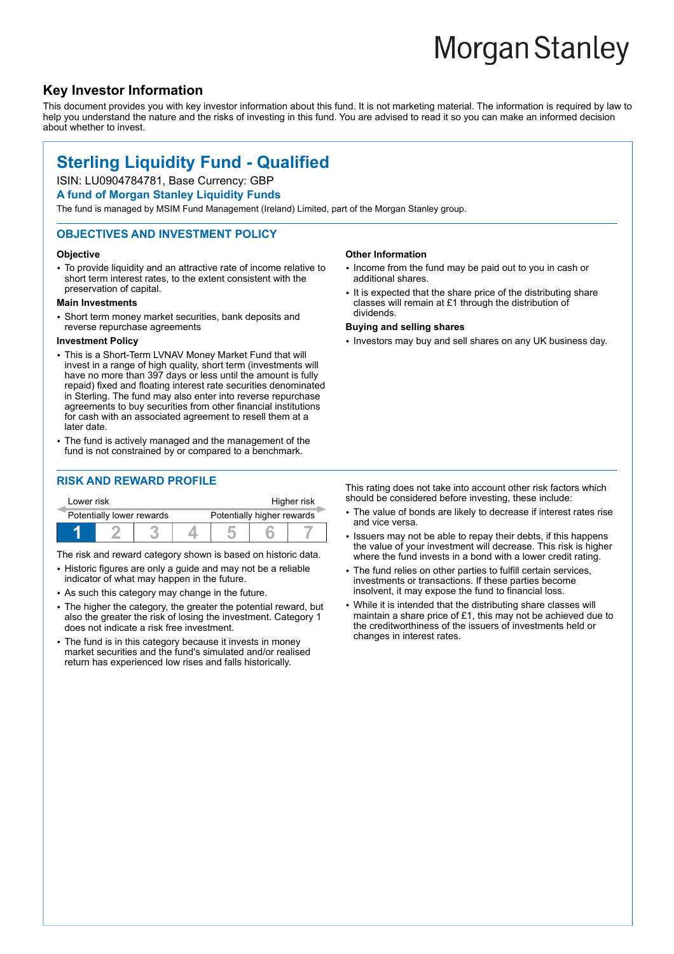# **Morgan Stanley**

# **Key Investor Information**

This document provides you with key investor information about this fund. It is not marketing material. The information is required by law to help you understand the nature and the risks of investing in this fund. You are advised to read it so you can make an informed decision about whether to invest.

# **Sterling Liquidity Fund - Qualified**

# ISIN: LU0904784781, Base Currency: GBP

#### **A fund of Morgan Stanley Liquidity Funds**

The fund is managed by MSIM Fund Management (Ireland) Limited, part of the Morgan Stanley group.

#### **OBJECTIVES AND INVESTMENT POLICY**

#### **Objective**

• To provide liquidity and an attractive rate of income relative to short term interest rates, to the extent consistent with the preservation of capital.

#### **Main Investments**

• Short term money market securities, bank deposits and reverse repurchase agreements

#### **Investment Policy**

- This is a Short-Term LVNAV Money Market Fund that will invest in a range of high quality, short term (investments will have no more than 397 days or less until the amount is fully repaid) fixed and floating interest rate securities denominated in Sterling. The fund may also enter into reverse repurchase agreements to buy securities from other financial institutions for cash with an associated agreement to resell them at a later date.
- The fund is actively managed and the management of the fund is not constrained by or compared to a benchmark.

## **RISK AND REWARD PROFILE**

| Lower risk                |  |  |                            | Higher risk |  |  |
|---------------------------|--|--|----------------------------|-------------|--|--|
| Potentially lower rewards |  |  | Potentially higher rewards |             |  |  |
|                           |  |  |                            |             |  |  |

The risk and reward category shown is based on historic data.

- Historic figures are only a guide and may not be a reliable indicator of what may happen in the future.
- As such this category may change in the future.
- The higher the category, the greater the potential reward, but also the greater the risk of losing the investment. Category 1 does not indicate a risk free investment.
- The fund is in this category because it invests in money market securities and the fund's simulated and/or realised return has experienced low rises and falls historically.

#### **Other Information**

- Income from the fund may be paid out to you in cash or additional shares.
- It is expected that the share price of the distributing share classes will remain at £1 through the distribution of dividends.

#### **Buying and selling shares**

• Investors may buy and sell shares on any UK business day.

This rating does not take into account other risk factors which should be considered before investing, these include:

- The value of bonds are likely to decrease if interest rates rise and vice versa.
- Issuers may not be able to repay their debts, if this happens the value of your investment will decrease. This risk is higher where the fund invests in a bond with a lower credit rating.
- The fund relies on other parties to fulfill certain services, investments or transactions. If these parties become insolvent, it may expose the fund to financial loss.
- While it is intended that the distributing share classes will maintain a share price of £1, this may not be achieved due to the creditworthiness of the issuers of investments held or changes in interest rates.